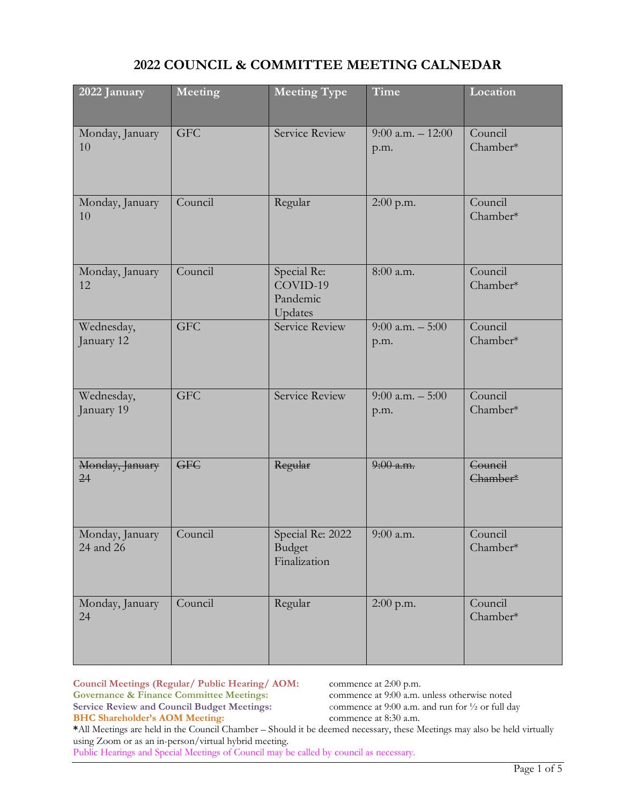## **2022 COUNCIL & COMMITTEE MEETING CALNEDAR**

| 2022 January                 | Meeting    | Time<br><b>Meeting Type</b>                                 |                             | Location            |
|------------------------------|------------|-------------------------------------------------------------|-----------------------------|---------------------|
| Monday, January<br>10        | <b>GFC</b> | Service Review<br>$9:00$ a.m. $-12:00$<br>p.m.              |                             | Council<br>Chamber* |
| Monday, January<br>10        | Council    | Regular<br>$2:00$ p.m.                                      |                             | Council<br>Chamber* |
| Monday, January<br>12        | Council    | Special Re:<br>8:00 a.m.<br>COVID-19<br>Pandemic<br>Updates |                             | Council<br>Chamber* |
| Wednesday,<br>January 12     | <b>GFC</b> | Service Review                                              | 9:00 a.m. $-5:00$<br>p.m.   | Council<br>Chamber* |
| Wednesday,<br>January 19     | <b>GFC</b> | Service Review                                              | $9:00$ a.m. $-5:00$<br>p.m. | Council<br>Chamber* |
| Monday, January<br>24        | <b>GFC</b> | Regular                                                     | $9:00$ a.m.                 | Council<br>Chamber* |
| Monday, January<br>24 and 26 | Council    | Special Re: 2022<br><b>Budget</b><br>Finalization           | 9:00 a.m.                   | Council<br>Chamber* |
| Monday, January<br>24        | Council    | Regular                                                     | 2:00 p.m.                   | Council<br>Chamber* |

**Council Meetings (Regular/ Public Hearing/ AOM:** commence at 2:00 p.m.<br> **Governance & Finance Committee Meetings:** commence at 9:00 a.m. unless otherwise noted **Governance & Finance Committee Meetings:** commence at 9:00 a.m. unless otherwise noted<br>Service Review and Council Budget Meetings: commence at 9:00 a.m. and run for  $\frac{1}{2}$  or full day **Service Review and Council Budget Meetings: BHC Shareholder's AOM Meeting:** commence at 8:30 a.m.

**\***All Meetings are held in the Council Chamber – Should it be deemed necessary, these Meetings may also be held virtually using Zoom or as an in-person/virtual hybrid meeting.

Public Hearings and Special Meetings of Council may be called by council as necessary.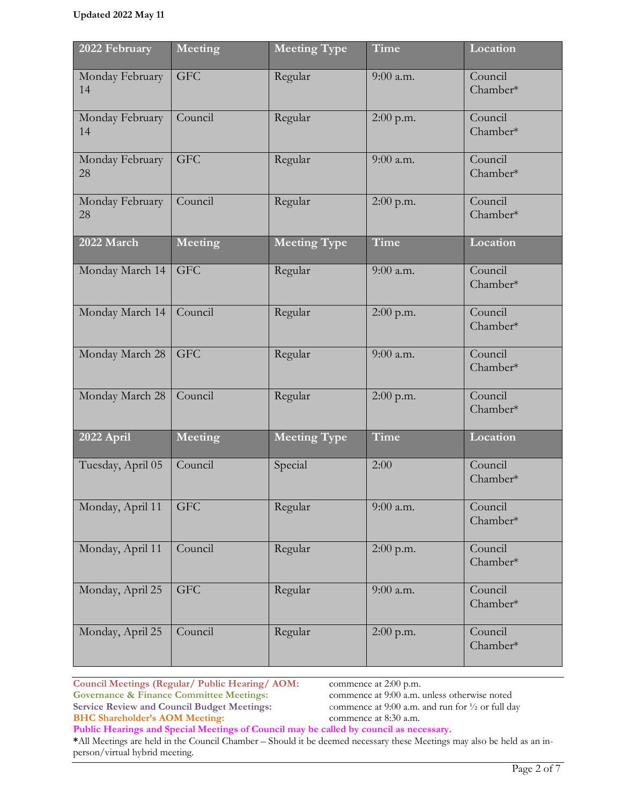| 2022 February         | Meeting    | <b>Meeting Type</b> | Time        | Location            |
|-----------------------|------------|---------------------|-------------|---------------------|
| Monday February<br>14 | <b>GFC</b> | Regular             | 9:00 a.m.   | Council<br>Chamber* |
| Monday February<br>14 | Council    | Regular             | $2:00$ p.m. | Council<br>Chamber* |
| Monday February<br>28 | <b>GFC</b> | Regular             | 9:00 a.m.   | Council<br>Chamber* |
| Monday February<br>28 | Council    | Regular             | 2:00 p.m.   | Council<br>Chamber* |
| 2022 March            | Meeting    | <b>Meeting Type</b> | Time        | Location            |
| Monday March 14       | <b>GFC</b> | Regular             | $9:00$ a.m. | Council<br>Chamber* |
| Monday March 14       | Council    | Regular             | 2:00 p.m.   | Council<br>Chamber* |
| Monday March 28       | <b>GFC</b> | Regular             | 9:00 a.m.   | Council<br>Chamber* |
| Monday March 28       | Council    | Regular             | $2:00$ p.m. | Council<br>Chamber* |
| 2022 April            | Meeting    | <b>Meeting Type</b> | Time        | Location            |
| Tuesday, April 05     | Council    | Special             | 2:00        | Council<br>Chamber* |
| Monday, April 11      | <b>GFC</b> | Regular             | 9:00 a.m.   | Council<br>Chamber* |
| Monday, April 11      | Council    | Regular             | 2:00 p.m.   | Council<br>Chamber* |
| Monday, April 25      | <b>GFC</b> | Regular             | 9:00 a.m.   | Council<br>Chamber* |
| Monday, April 25      | Council    | Regular             | 2:00 p.m.   | Council<br>Chamber* |

**Public Hearings and Special Meetings of Council may be called by council as necessary.**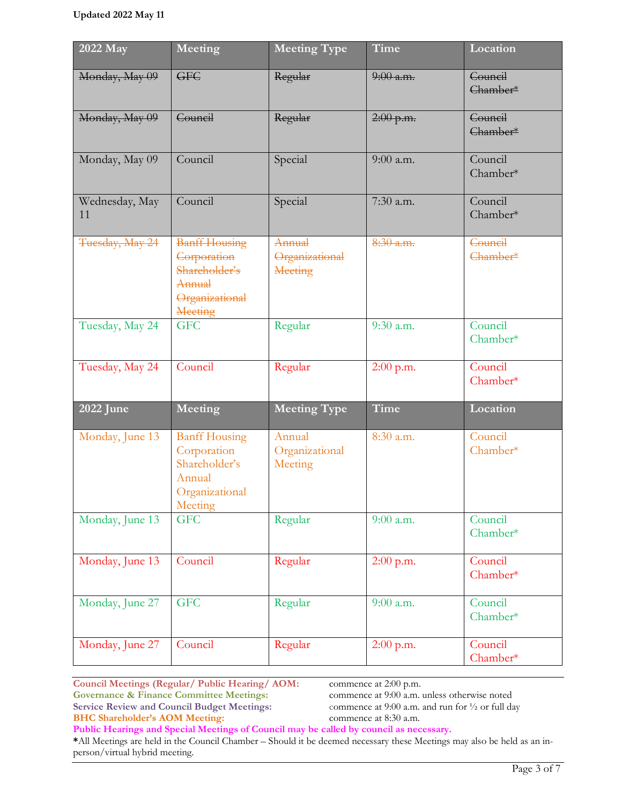| 2022 May             | Meeting                                                                                     | <b>Meeting Type</b>                        | Time                   | Location                              |
|----------------------|---------------------------------------------------------------------------------------------|--------------------------------------------|------------------------|---------------------------------------|
| Monday, May 09       | <b>GFC</b>                                                                                  | Regular                                    | $9:00$ a.m.            | Council<br>Chamber*                   |
| Monday, May 09       | Council                                                                                     | Regular                                    | $2:00$ p.m.            | Council<br>Chamber <sup>*</sup>       |
| Monday, May 09       | Council                                                                                     | Special                                    | 9:00 a.m.              | Council<br>Chamber*                   |
| Wednesday, May<br>11 | Council                                                                                     | Special                                    | 7:30 a.m.              | Council<br>Chamber*                   |
| Tuesday, May 24      | <b>Banff Housing</b><br>Corporation<br>Shareholder's<br>Annual<br>Organizational<br>Meeting | Annual<br>Organizational<br><b>Meeting</b> | $8:30$ a.m.            | Council<br>Chamber <sup>*</sup>       |
| Tuesday, May 24      | <b>GFC</b>                                                                                  | Regular                                    | $\overline{9:}30$ a.m. | Council<br>Chamber*                   |
| Tuesday, May 24      | Council                                                                                     | Regular                                    | $2:00$ p.m.            | $\overline{\text{Count}}$<br>Chamber* |
| 2022 June            | Meeting                                                                                     | <b>Meeting Type</b>                        | Time                   | Location                              |
| Monday, June 13      | <b>Banff Housing</b><br>Corporation<br>Shareholder's<br>Annual<br>Organizational<br>Meeting | Annual<br>Organizational<br>Meeting        | 8:30 a.m.              | Council<br>Chamber*                   |
| Monday, June 13      | <b>GFC</b>                                                                                  | Regular                                    | 9:00 a.m.              | Council<br>Chamber*                   |
| Monday, June 13      | Council                                                                                     | Regular                                    | 2:00 p.m.              | Council<br>Chamber*                   |
| Monday, June 27      | <b>GFC</b>                                                                                  | Regular                                    | 9:00 a.m.              | Council<br>Chamber*                   |
| Monday, June 27      | Council                                                                                     | Regular                                    | $2:00$ p.m.            | Council<br>Chamber*                   |

**Public Hearings and Special Meetings of Council may be called by council as necessary.**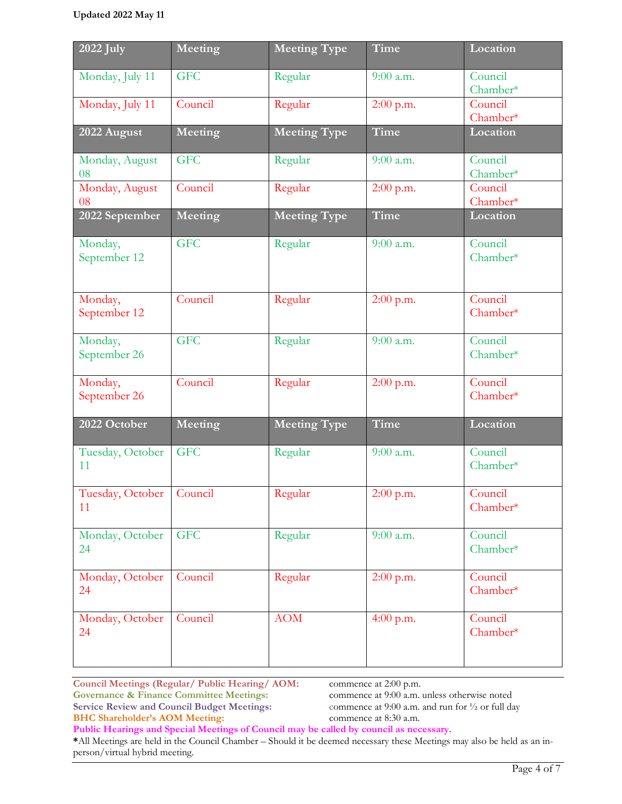| 2022 July                        | Meeting    | <b>Meeting Type</b> | Time        | Location            |
|----------------------------------|------------|---------------------|-------------|---------------------|
| Monday, July 11                  | <b>GFC</b> | Regular             | $9:00$ a.m. | Council<br>Chamber* |
| Monday, July 11                  | Council    | Regular             | $2:00$ p.m. | Council<br>Chamber* |
| 2022 August                      | Meeting    | <b>Meeting Type</b> | Time        | <b>Location</b>     |
| Monday, August<br>08             | <b>GFC</b> | Regular             | 9:00 a.m.   | Council<br>Chamber* |
| Monday, August<br>08             | Council    | Regular             | 2:00 p.m.   | Council<br>Chamber* |
| 2022 September                   | Meeting    | <b>Meeting Type</b> | Time        | Location            |
| Monday,<br>September 12          | <b>GFC</b> | Regular             | $9:00$ a.m. | Council<br>Chamber* |
| Monday,<br>September 12          | Council    | Regular             | 2:00 p.m.   | Council<br>Chamber* |
| Monday,<br>September 26          | <b>GFC</b> | Regular             | $9:00$ a.m. | Council<br>Chamber* |
| Monday,<br>September 26          | Council    | Regular             | $2:00$ p.m. | Council<br>Chamber* |
| 2022 October                     | Meeting    | <b>Meeting Type</b> | Time        | Location            |
| Tuesday, October<br>11           | <b>GFC</b> | Regular             | $9:00$ a.m. | Council<br>Chamber* |
| Tuesday, October   Council<br>11 |            | Regular             | $2:00$ p.m. | Council<br>Chamber* |
| Monday, October<br>24            | <b>GFC</b> | Regular             | 9:00 a.m.   | Council<br>Chamber* |
| Monday, October<br>24            | Council    | Regular             | $2:00$ p.m. | Council<br>Chamber* |
| Monday, October<br>24            | Council    | <b>AOM</b>          | 4:00 p.m.   | Council<br>Chamber* |

**Public Hearings and Special Meetings of Council may be called by council as necessary.**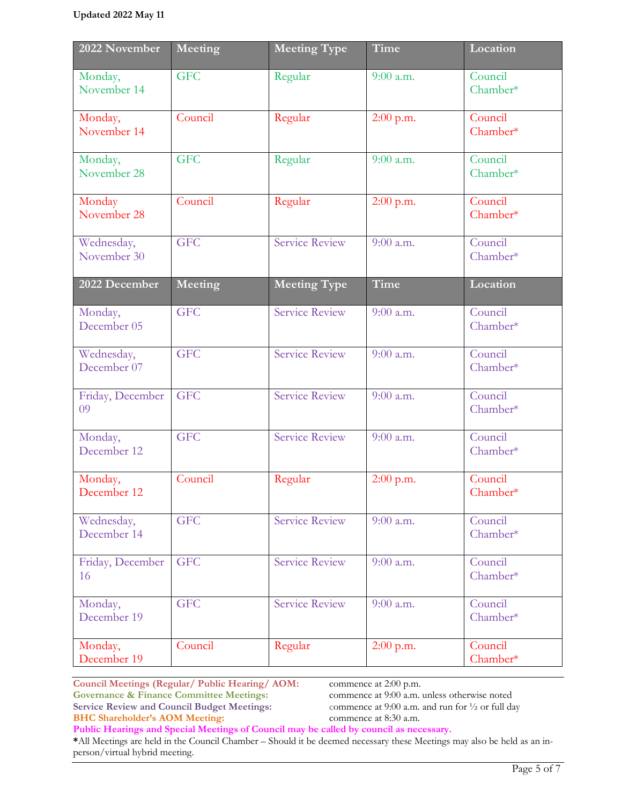| 2022 November             | Meeting    | <b>Meeting Type</b>   | Time        | Location            |
|---------------------------|------------|-----------------------|-------------|---------------------|
| Monday,<br>November 14    | <b>GFC</b> | Regular               | $9:00$ a.m. | Council<br>Chamber* |
| Monday,<br>November 14    | Council    | Regular               | $2:00$ p.m. | Council<br>Chamber* |
| Monday,<br>November 28    | <b>GFC</b> | Regular               | $9:00$ a.m. | Council<br>Chamber* |
| Monday<br>November 28     | Council    | Regular               | $2:00$ p.m. | Council<br>Chamber* |
| Wednesday,<br>November 30 | <b>GFC</b> | <b>Service Review</b> | $9:00$ a.m. | Council<br>Chamber* |
| 2022 December             | Meeting    | <b>Meeting Type</b>   | Time        | Location            |
| Monday,<br>December 05    | <b>GFC</b> | <b>Service Review</b> | $9:00$ a.m. | Council<br>Chamber* |
| Wednesday,<br>December 07 | <b>GFC</b> | <b>Service Review</b> | $9:00$ a.m. | Council<br>Chamber* |
| Friday, December<br>09    | <b>GFC</b> | <b>Service Review</b> | $9:00$ a.m. | Council<br>Chamber* |
| Monday,<br>December 12    | <b>GFC</b> | <b>Service Review</b> | 9:00 a.m.   | Council<br>Chamber* |
| Monday,<br>December 12    | Council    | Regular               | 2:00 p.m.   | Council<br>Chamber* |
| Wednesday,<br>December 14 | <b>GFC</b> | <b>Service Review</b> | 9:00 a.m.   | Council<br>Chamber* |
| Friday, December<br>16    | <b>GFC</b> | <b>Service Review</b> | $9:00$ a.m. | Council<br>Chamber* |
| Monday,<br>December 19    | <b>GFC</b> | <b>Service Review</b> | 9:00 a.m.   | Council<br>Chamber* |
| Monday,<br>December 19    | Council    | Regular               | $2:00$ p.m. | Council<br>Chamber* |

**Public Hearings and Special Meetings of Council may be called by council as necessary.**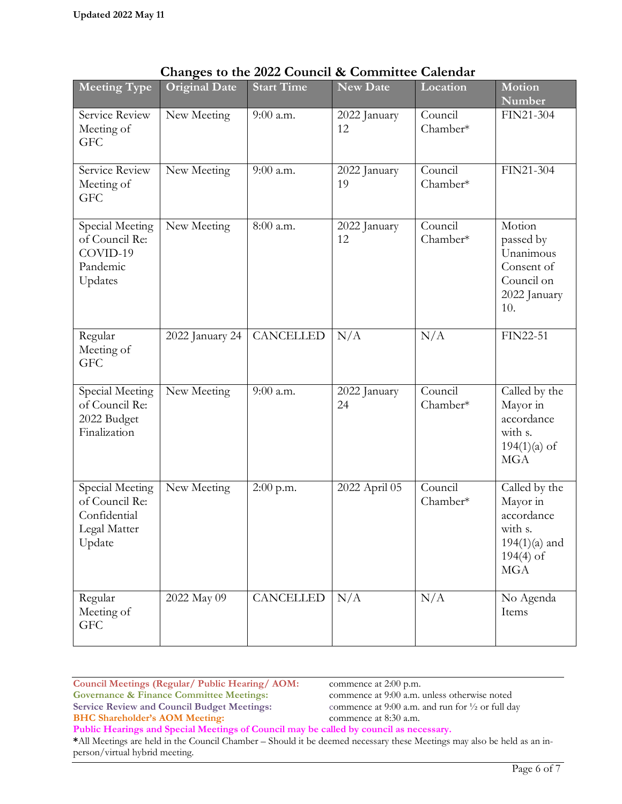person/virtual hybrid meeting.

|                                                                             | Changes to the 2022 $\sigma$ |                   |                    | <b>Calcular</b>     |                                                                                                    |
|-----------------------------------------------------------------------------|------------------------------|-------------------|--------------------|---------------------|----------------------------------------------------------------------------------------------------|
| Meeting Type                                                                | <b>Original Date</b>         | <b>Start Time</b> | New Date           | Location            | <b>Motion</b><br>Number                                                                            |
| Service Review<br>Meeting of<br><b>GFC</b>                                  | New Meeting                  | 9:00 a.m.         | 2022 January<br>12 | Council<br>Chamber* | FIN21-304                                                                                          |
| Service Review<br>Meeting of<br><b>GFC</b>                                  | New Meeting                  | 9:00 a.m.         | 2022 January<br>19 | Council<br>Chamber* | FIN21-304                                                                                          |
| Special Meeting<br>of Council Re:<br>COVID-19<br>Pandemic<br>Updates        | New Meeting                  | 8:00 a.m.         | 2022 January<br>12 | Council<br>Chamber* | Motion<br>passed by<br>Unanimous<br>Consent of<br>Council on<br>2022 January<br>10.                |
| Regular<br>Meeting of<br><b>GFC</b>                                         | 2022 January 24              | <b>CANCELLED</b>  | N/A                | N/A                 | FIN22-51                                                                                           |
| Special Meeting<br>of Council Re:<br>2022 Budget<br>Finalization            | New Meeting                  | 9:00 a.m.         | 2022 January<br>24 | Council<br>Chamber* | Called by the<br>Mayor in<br>accordance<br>with s.<br>$194(1)(a)$ of<br><b>MGA</b>                 |
| Special Meeting<br>of Council Re:<br>Confidential<br>Legal Matter<br>Update | New Meeting                  | $2:00$ p.m.       | 2022 April 05      | Council<br>Chamber* | Called by the<br>Mayor in<br>accordance<br>with s.<br>$194(1)(a)$ and<br>$194(4)$ of<br><b>MGA</b> |
| Regular<br>Meeting of<br><b>GFC</b>                                         | 2022 May 09                  | CANCELLED         | N/A                | N/A                 | No Agenda<br>Items                                                                                 |

|  |  | Changes to the 2022 Council & Committee Calendar |  |
|--|--|--------------------------------------------------|--|
|--|--|--------------------------------------------------|--|

**Council Meetings (Regular/ Public Hearing/ AOM:** commence at 2:00 p.m.<br> **Governance & Finance Committee Meetings:** commence at 9:00 a.m. unless otherwise noted **Governance & Finance Committee Meetings:** commence at 9:00 a.m. unless otherwise noted Service Review and Council Budget Meetings: commence at 9:00 a.m. and run for  $\frac{1}{2}$  or full day **Service Review and Council Budget Meetings: BHC Shareholder's AOM Meeting:** commence at 8:30 a.m. **Public Hearings and Special Meetings of Council may be called by council as necessary. \***All Meetings are held in the Council Chamber – Should it be deemed necessary these Meetings may also be held as an in-